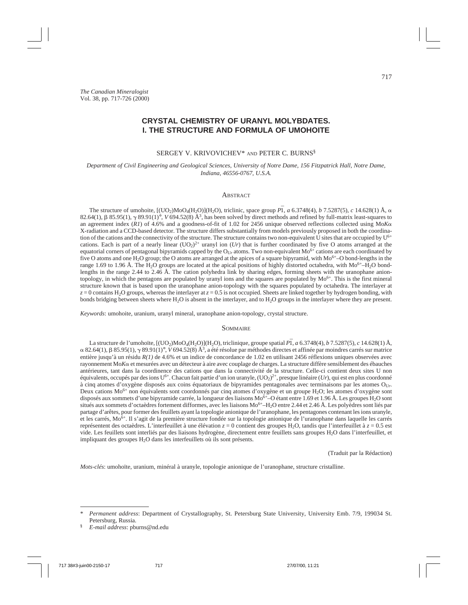# **CRYSTAL CHEMISTRY OF URANYL MOLYBDATES. I. THE STRUCTURE AND FORMULA OF UMOHOITE**

# SERGEY V. KRIVOVICHEV\* AND PETER C. BURNS§

*Department of Civil Engineering and Geological Sciences, University of Notre Dame, 156 Fitzpatrick Hall, Notre Dame, Indiana, 46556-0767, U.S.A.*

#### **ABSTRACT**

The structure of umohoite,  $[(UO_2)MO_4(H_2O)](H_2O)$ , triclinic, space group  $\overline{PI}$ , a 6.3748(4), b 7.5287(5), c 14.628(1) Å,  $\alpha$ 82.64(1),  $\beta$  85.95(1),  $\gamma$  89.91(1)°, *V* 694.52(8) Å<sup>3</sup>, has been solved by direct methods and refined by full-matrix least-squares to an agreement index  $(RI)$  of 4.6% and a goodness-of-fit of 1.02 for 2456 unique observed reflections collected using Mo*K* $\alpha$ X-radiation and a CCD-based detector. The structure differs substantially from models previously proposed in both the coordination of the cations and the connectivity of the structure. The structure contains two non-equivalent U sites that are occupied by  $U^{6+}$ cations. Each is part of a nearly linear  $(UO_2)^{2+}$  uranyl ion  $(Ur)$  that is further coordinated by five O atoms arranged at the equatorial corners of pentagonal bipyramids capped by the  $O_{Ur}$  atoms. Two non-equivalent  $Mo^{6+}$  cations are each coordinated by five O atoms and one H<sub>2</sub>O group; the O atoms are arranged at the apices of a square bipyramid, with  $Mo^{6+}$ –O bond-lengths in the range 1.69 to 1.96 Å. The H<sub>2</sub>O groups are located at the apical positions of highly distorted octahedra, with Mo<sup>6+</sup>–H<sub>2</sub>O bondlengths in the range 2.44 to 2.46 Å. The cation polyhedra link by sharing edges, forming sheets with the uranophane aniontopology, in which the pentagons are populated by uranyl ions and the squares are populated by  $Mo^{6+}$ . This is the first mineral structure known that is based upon the uranophane anion-topology with the squares populated by octahedra. The interlayer at  $z = 0$  contains H<sub>2</sub>O groups, whereas the interlayer at  $z = 0.5$  is not occupied. Sheets are linked together by hydrogen bonding, with bonds bridging between sheets where H2O is absent in the interlayer, and to H2O groups in the interlayer where they are present.

*Keywords*: umohoite, uranium, uranyl mineral, uranophane anion-topology, crystal structure.

## **SOMMAIRE**

La structure de l'umohoïte, [(UO<sub>2</sub>)MoO<sub>4</sub>(H<sub>2</sub>O)](H<sub>2</sub>O), triclinique, groupe spatial  $\overline{PI}$ , *a* 6.3748(4), *b* 7.5287(5), *c* 14.628(1) Å, a 82.64(1), b 85.95(1), g 89.91(1)°, *V* 694.52(8) Å3, a été résolue par méthodes directes et affinée par moindres carrés sur matrice entière jusqu'à un résidu *R(1)* de 4.6% et un indice de concordance de 1.02 en utilisant 2456 réflexions uniques observées avec rayonnement Mo*K*a et mesurées avec un détecteur à aire avec couplage de charges. La structure diffère sensiblement des ébauches antérieures, tant dans la coordinence des cations que dans la connectivité de la structure. Celle-ci contient deux sites U non équivalents, occupés par des ions U<sup>6+</sup>. Chacun fait partie d'un ion uranyle, (UO<sub>2</sub>)<sup>2+</sup>, presque linéaire (*Ur*), qui est en plus coordonné à cinq atomes d'oxygène disposés aux coins équatoriaux de bipyramides pentagonales avec terminaisons par les atomes O*Ur*. Deux cations  $Mo^{6+}$  non équivalents sont coordonnés par cinq atomes d'oxygène et un groupe H<sub>2</sub>O; les atomes d'oxygène sont disposés aux sommets d'une bipyramide carrée, la longueur des liaisons  $Mo<sup>6+</sup>–O$  étant entre 1.69 et 1.96 Å. Les groupes H<sub>2</sub>O sont situés aux sommets d'octaèdres fortement difformes, avec les liaisons Mo<sup>6+</sup>–H<sub>2</sub>O entre 2.44 et 2.46 Å. Les polyèdres sont liés par partage d'arêtes, pour former des feuillets ayant la topologie anionique de l'uranophane, les pentagones contenant les ions uranyle, et les carrés,  $Mo<sup>6+</sup>$ . Il s'agit de la première structure fondée sur la topologie anionique de l'uranophane dans laquelle les carrés représentent des octaèdres. L'interfeuillet à une élévation  $z = 0$  contient des groupes H<sub>2</sub>O, tandis que l'interfeuillet à  $z = 0.5$  est vide. Les feuillets sont interliés par des liaisons hydrogène, directement entre feuillets sans groupes H2O dans l'interfeuillet, et impliquant des groupes H<sub>2</sub>O dans les interfeuillets où ils sont présents.

(Traduit par la Rédaction)

*Mots-clés*: umohoïte, uranium, minéral à uranyle, topologie anionique de l'uranophane, structure cristalline.

<sup>\*</sup> *Permanent address*: Department of Crystallography, St. Petersburg State University, University Emb. 7/9, 199034 St. Petersburg, Russia.

<sup>§</sup> *E-mail address*: pburns@nd.edu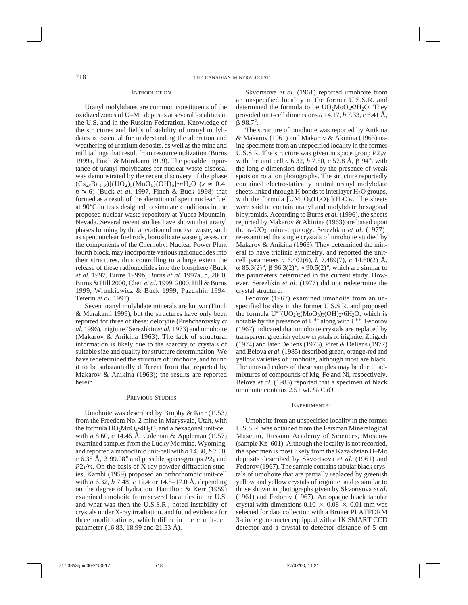#### **INTRODUCTION**

Uranyl molybdates are common constituents of the oxidized zones of U–Mo deposits at several localities in the U.S. and in the Russian Federation. Knowledge of the structures and fields of stability of uranyl molybdates is essential for understanding the alteration and weathering of uranium deposits, as well as the mine and mill tailings that result from resource utilization (Burns 1999a, Finch & Murakami 1999). The possible importance of uranyl molybdates for nuclear waste disposal was demonstrated by the recent discovery of the phase  $(Cs_{2x}Ba_{1-x})[(UO_2)_{5}(MoO_6)(OH)_6]\cdot nH_2O \ (x \approx 0.4,$ *n* ≈ 6) (Buck *et al.* 1997, Finch & Buck 1998) that formed as a result of the alteration of spent nuclear fuel at 90°C in tests designed to simulate conditions in the proposed nuclear waste repository at Yucca Mountain, Nevada. Several recent studies have shown that uranyl phases forming by the alteration of nuclear waste, such as spent nuclear fuel rods, borosilicate waste glasses, or the components of the Chernobyl Nuclear Power Plant fourth block, may incorporate various radionuclides into their structures, thus controlling to a large extent the release of these radionuclides into the biosphere (Buck *et al.* 1997, Burns 1999b, Burns *et al.* 1997a, b, 2000, Burns & Hill 2000, Chen *et al.* 1999, 2000, Hill & Burns 1999, Wronkiewicz & Buck 1999, Pazukhin 1994, Teterin *et al.* 1997).

Seven uranyl molybdate minerals are known (Finch & Murakami 1999), but the structures have only been reported for three of these: deloryite (Pushcharovsky *et al.* 1996), iriginite (Serezhkin *et al.* 1973) and umohoite (Makarov & Anikina 1963). The lack of structural information is likely due to the scarcity of crystals of suitable size and quality for structure determination. We have redetermined the structure of umohoite, and found it to be substantially different from that reported by Makarov & Anikina (1963); the results are reported herein.

# PREVIOUS STUDIES

Umohoite was described by Brophy & Kerr (1953) from the Freedom No. 2 mine in Marysvale, Utah, with the formula  $UO_2MoO_4 \cdot 4H_2O$ , and a hexagonal unit-cell with *a* 8.60, *c* 14.45 Å. Coleman & Appleman (1957) examined samples from the Lucky Mc mine, Wyoming, and reported a monoclinic unit-cell with *a* 14.30, *b* 7.50,  $c$  6.38 Å,  $\beta$  99.08° and possible space-groups  $P2<sub>1</sub>$  and  $P2<sub>1</sub>/m$ . On the basis of X-ray powder-diffraction studies, Kamhi (1959) proposed an orthorhombic unit-cell with *a* 6.32, *b* 7.48*, c* 12.4 or 14.5–17.0 Å, depending on the degree of hydration. Hamilton & Kerr (1959) examined umohoite from several localities in the U.S. and what was then the U.S.S.R., noted instability of crystals under X-ray irradiation, and found evidence for three modifications, which differ in the *c* unit-cell parameter (16.83, 18.99 and 21.53 Å).

Skvortsova *et al.* (1961) reported umohoite from an unspecified locality in the former U.S.S.R. and determined the formula to be  $UO_2MO_4^{\bullet}2H_2O$ . They provided unit-cell dimensions *a* 14.17, *b* 7.33*, c* 6.41 Å, b 98.7°.

The structure of umohoite was reported by Anikina & Makarov (1961) and Makarov & Akinina (1963) using specimens from an unspecified locality in the former U.S.S.R. The structure was given in space group *P*21/*c* with the unit cell *a* 6.32, *b* 7.50, *c* 57.8 Å,  $\beta$  94°, with the long *c* dimension defined by the presence of weak spots on rotation photographs. The structure reportedly contained electrostatically neutral uranyl molybdate sheets linked through H bonds to interlayer  $H_2O$  groups, with the formula  $[UMoO<sub>6</sub>(H<sub>2</sub>O)<sub>2</sub>](H<sub>2</sub>O)<sub>2</sub>$ . The sheets were said to contain uranyl and molybdate hexagonal bipyramids. According to Burns *et al.* (1996), the sheets reported by Makarov & Akinina (1963) are based upon the  $\alpha$ -UO<sub>3</sub> anion-topology. Serezhkin *et al.* (1977) re-examined the single crystals of umohoite studied by Makarov & Anikina (1963). They determined the mineral to have triclinic symmetry, and reported the unitcell parameters *a* 6.402(6), *b* 7.489(7), *c* 14.60(2) Å,  $\alpha$  85.3(2)°,  $\beta$  96.3(2)°,  $\gamma$  90.5(2)°, which are similar to the parameters determined in the current study. However, Serezhkin *et al.* (1977) did not redetermine the crystal structure.

Fedorov (1967) examined umohoite from an unspecified locality in the former U.S.S.R. and proposed the formula  $U^{4+}(UO_2)_2(M_0O_3)_3(OH)_2\bullet OH_2O$ , which is notable by the presence of  $U^{4+}$  along with  $U^{6+}$ . Fedorov (1967) indicated that umohoite crystals are replaced by transparent greenish yellow crystals of iriginite. Zhigach (1974) and later Deliens (1975), Piret & Deliens (1977) and Belova *et al*. (1985) described green, orange-red and yellow varieties of umohoite, although most are black. The unusual colors of these samples may be due to admixtures of compounds of Mg, Fe and Ni, respectively. Belova *et al.* (1985) reported that a specimen of black umohoite contains 2.51 wt. % CaO.

#### **EXPERIMENTAL**

Umohoite from an unspecified locality in the former U.S.S.R. was obtained from the Fersman Mineralogical Museum, Russian Academy of Sciences, Moscow (sample Kz–601). Although the locality is not recorded, the specimen is most likely from the Kazakhstan U–Mo deposits described by Skvortsova *et al.* (1961) and Fedorov (1967). The sample contains tabular black crystals of umohoite that are partially replaced by greenish yellow and yellow crystals of iriginite, and is similar to those shown in photographs given by Skvortsova *et al.* (1961) and Fedorov (1967). An opaque black tabular crystal with dimensions  $0.10 \times 0.08 \times 0.01$  mm was selected for data collection with a Bruker PLATFORM 3-circle goniometer equipped with a 1K SMART CCD detector and a crystal-to-detector distance of 5 cm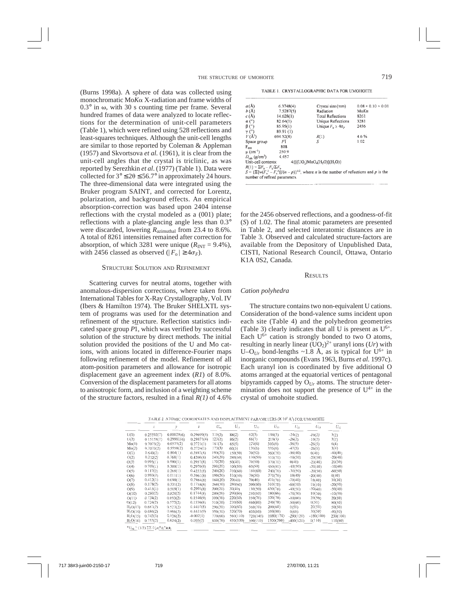(Burns 1998a). A sphere of data was collected using monochromatic Mo*K*a X-radiation and frame widths of  $0.3^\circ$  in  $\omega$ , with 30 s counting time per frame. Several hundred frames of data were analyzed to locate reflections for the determination of unit-cell parameters (Table 1), which were refined using 528 reflections and least-squares techniques. Although the unit-cell lengths are similar to those reported by Coleman & Appleman (1957) and Skvortsova *et al.* (1961), it is clear from the unit-cell angles that the crystal is triclinic, as was reported by Serezhkin *et al*. (1977) (Table 1). Data were collected for  $3^{\circ} \le 2\theta \le 56.7^{\circ}$  in approximately 24 hours. The three-dimensional data were integrated using the Bruker program SAINT, and corrected for Lorentz, polarization, and background effects. An empirical absorption-correction was based upon 2404 intense reflections with the crystal modeled as a (001) plate; reflections with a plate-glancing angle less than 0.3° were discarded, lowering  $R_{\text{azimuthal}}$  from 23.4 to 8.6%. A total of 8261 intensities remained after correction for absorption, of which 3281 were unique  $(R_{\text{INT}} = 9.4\%)$ , with 2456 classed as observed ( $|F_{o}| \ge 4\sigma_{F}$ ).

# STRUCTURE SOLUTION AND REFINEMENT

Scattering curves for neutral atoms, together with anomalous-dispersion corrections, where taken from International Tables for X-Ray Crystallography, Vol. IV (Ibers & Hamilton 1974). The Bruker SHELXTL system of programs was used for the determination and refinement of the structure. Reflection statistics indicated space group  $\overline{P_1}$ , which was verified by successful solution of the structure by direct methods. The initial solution provided the positions of the U and Mo cations, with anions located in difference-Fourier maps following refinement of the model. Refinement of all atom-position parameters and allowance for isotropic displacement gave an agreement index (*R1*) of 8.0%. Conversion of the displacement parameters for all atoms to anisotropic form, and inclusion of a weighting scheme of the structure factors, resulted in a final *R(1)* of 4.6%

TABLE 1 CRYSTALLOGRAPHIC DATA FOR UMOHOUTE

| $a(\lambda)$                                                                                                   | 6.3748(4)       | Crystal size (mm)                        | $0.08 \times 0.10 \times 0.01$ |  |  |  |
|----------------------------------------------------------------------------------------------------------------|-----------------|------------------------------------------|--------------------------------|--|--|--|
| b(A)                                                                                                           | 7.5287(5)       | Radiation                                | $M$ o $K\alpha$                |  |  |  |
| c(A)                                                                                                           | 14.628(1)       | <b>Total Reflections</b>                 | 8261                           |  |  |  |
| $\alpha$ (°)                                                                                                   | 82.64(1)        | Unique Reflections                       | 3281                           |  |  |  |
| $\beta$ (°)                                                                                                    | 85.95(1)        | Unique $F_{\alpha} \geq 4\sigma_{\rm F}$ | 2456                           |  |  |  |
| $\gamma$ (°)                                                                                                   | 89.91 (1)       |                                          |                                |  |  |  |
| $V(A^3)$                                                                                                       | 694.52(8)       | R(1)                                     | 4.6%                           |  |  |  |
| Space group                                                                                                    | $P\overline{1}$ | s                                        | 1.02                           |  |  |  |
| $F_{000}$                                                                                                      | 808             |                                          |                                |  |  |  |
| $\mu$ (cm <sup>-1</sup> )                                                                                      | 250.9           |                                          |                                |  |  |  |
| $D_{\text{calc}}(g/cm^3)$                                                                                      | 4.457           |                                          |                                |  |  |  |
| 4{[(UO <sub>2</sub> )MoO <sub>4</sub> (H <sub>2</sub> O)](H <sub>2</sub> O)}<br>Unit-cell contents:            |                 |                                          |                                |  |  |  |
| $R(1) = \Sigma F_a - F_a / \Sigma F_a$                                                                         |                 |                                          |                                |  |  |  |
| $S = {\sum [w(F_n^2 - F_n^2)]}{(n-p)}^{1/2}$ , where <i>n</i> is the number of reflections and <i>p</i> is the |                 |                                          |                                |  |  |  |

number of refined parameters

for the 2456 observed reflections, and a goodness-of-fit (*S*) of 1.02. The final atomic parameters are presented in Table 2, and selected interatomic distances are in Table 3. Observed and calculated structure-factors are available from the Depository of Unpublished Data, CISTI, National Research Council, Ottawa, Ontario K1A 0S2, Canada.

### **RESULTS**

## *Cation polyhedra*

The structure contains two non-equivalent U cations. Consideration of the bond-valence sums incident upon each site (Table 4) and the polyhedron geometries (Table 3) clearly indicates that all U is present as  $U^{6+}$ . Each  $U^{6+}$  cation is strongly bonded to two O atoms, resulting in nearly linear  $(UQ_2)^{2+}$  uranyl ions  $(Ur)$  with U–O<sub>Ur</sub> bond-lengths ~1.8 Å, as is typical for  $U^{6+}$  in inorganic compounds (Evans 1963, Burns *et al.* 1997c). Each uranyl ion is coordinated by five additional O atoms arranged at the equatorial vertices of pentagonal bipyramids capped by  $O_{Ur}$  atoms. The structure determination does not support the presence of  $U^{4+}$  in the crystal of umohoite studied.

|                      | x          | у          | z           | $U_{\rm rel}$ | $U_{11}$ | $U_{22}$ | $U_{13}$  | $U_{21}$    | $U_{13}$    | $U_{12}$  |
|----------------------|------------|------------|-------------|---------------|----------|----------|-----------|-------------|-------------|-----------|
| U(1)                 | 0.25592(7) | 0.80029(6) | 0.29699(4)  | 115(2)        | 88(2)    | 62(3)    | 198(3)    | $-24(2)$    | $-16(2)$    | 3(2)      |
| U(2)                 | 0.15158(7) | 0.29981(6) | 0.29871(4)  | 123(2)        | 86(2)    | 66(3)    | 219(3)    | $-26(2)$    | $-10(2)$    | 3(2)      |
| Mo(1)                | 0.7073(2)  | 0.0575(2)  | 0.2721(1)   | 161(3)        | 65(5)    | 121(6)   | 303(8)    | $-36(5)$    | $-26(5)$    | 6(4)      |
| Mo(2)                | 0.7073(2)  | 0.5558(2)  | 0.2724(1)   | 173(3)        | 60(5)    | 130(6)   | 335(8)    | $-47(5)$    | $-26(5)$    | 3(4)      |
| O(1)                 | 0.640(2)   | 0.804(1)   | 0.2892(8)   | 190(20)       | 150(50)  | 70(50)   | 360(70)   | $-90(40)$   | 0(40)       | $-40(40)$ |
| O(2)                 | 0.232(2)   | 0.768(1)   | 0.4200(8)   | 240(20)       | 280(60)  | 130(50)  | 310(70)   | $-10(50)$   | $-20(50)$   | $-20(40)$ |
| O(3)                 | 0.993(1)   | 0.590(1)   | 0.2957(8)   | 170(20)       | 50(40)   | 70(50)   | 370(70)   | 0(40)       | $-20(40)$   | 20(30)    |
| O(4)                 | 0.769(1)   | 0.300(1)   | 0.2970(8)   | 200(20)       | 100(50)  | 60(50)   | 450(80)   | $-40(50)$   | $-20(40)$   | $-10(40)$ |
| O(5)                 | 0.117(2)   | 0.268(1)   | 0.4233(8)   | 240(20)       | 310(60)  | 180(60)  | 240(70)   | $-30(50)$   | $-20(50)$   | $-60(50)$ |
| O(6)                 | 0.993(2)   | 0.011(1)   | 0.2961(8)   | 190(20)       | 110(50)  | 70(50)   | 370(70)   | 10(40)      | $-20(40)$   | 0(40)     |
| O(7)                 | 0.412(1)   | 0.090(1)   | 0.2984(8)   | 160(20)       | 20(40)   | 70(40)   | 410(70)   | $-70(40)$   | 10(40)      | 30(30)    |
| O(8)                 | 0.178(2)   | 0.331(2)   | 0.1758(8)   | 260(30)       | 280(60)  | 200(60)  | 310(70)   | $-60(50)$   | 10(50)      | $-20(50)$ |
| O(9)                 | 0.415(1)   | 0.509(1)   | 0.2993(8)   | 200(20)       | 30(40)   | 130(50)  | 430(70)   | $-40(50)$   | $-30(40)$   | $-50(40)$ |
| O(10)                | 0.280(2)   | 0.828(2)   | 0.1744(8)   | 240(20)       | 290(60)  | 250(60)  | 180(60)   | $-70(50)$   | 10(50)      | $-10(50)$ |
| O(11)                | 0.724(2)   | 0.093(2)   | 0.1546(9)   | 300(30)       | 220(60)  | 350(70)  | 320(70)   | $-10(60)$   | 20(50)      | 20(50)    |
| O(12)                | 0.724(2)   | 0.577(2)   | 0.1556(8)   | 310(30)       | 230(60)  | 460(80)  | 240(70)   | $-50(60)$   | 0(50)       | 80(50)    |
| $H_2O(13)$           | 0.687(2)   | 0.527(2)   | 0.4407(8)   | 290(30)       | 300(60)  | 360(70)  | 200(60)   | 0(50)       | 20(50)      | 50(50)    |
| H <sub>2</sub> O(14) | 0.686(2)   | (1.996(2)) | 0.4421(9)   | 350(30)       | 320(70)  | 400(80)  | 310(80)   | 0(60)       | 30(50)      | $-40(50)$ |
| II,O(15)             | 0.743(3)   | 0.126(2)   | $-0.002(1)$ | 770(60)       | 560(110) | 720(140) | 1080(170) | $-290(120)$ | $-180(100)$ | 230(100)  |
| $H_2O(16)$           | 0.753(2)   | 0.624(2)   | 0.003(2)    | 800(70)       | 450(100) | 500(110) | 1500(200) | $-400(120)$ | 0(110)      | 110(80)   |

TABLE 2. ATOMIC COORDINATES AND DISPLACEMENT PARAMETERS (X 10<sup>4</sup> Å<sup>2</sup>) FOR UMOHOITE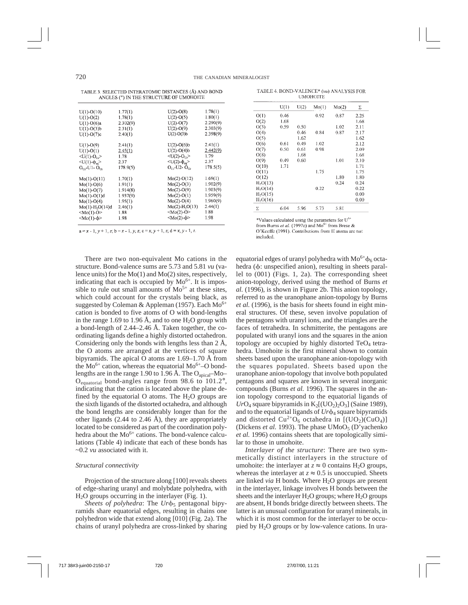TABLE 3. SELECTED INTERATOMIC DISTANCES (Å) AND BOND ANGLES (°) IN THE STRUCTURE OF UMOHOITE

| $U(1)$ -O(10)                    | 1.77(1)  | $U(2)$ -O(8)                                   | 1.78(1)  |
|----------------------------------|----------|------------------------------------------------|----------|
| $U(1)-O(2)$                      | 1.78(1)  | $U(2)-O(5)$                                    | 1.80(1)  |
| $U(1) - O(6)a$                   | 2.302(9) | $U(2)-O(7)$                                    | 2.290(9) |
| $U(1)-O(3)$ b                    | 2.31(1)  | $U(2)-O(9)$                                    | 2.303(9) |
| $U(1)-O(7)c$                     | 2.40(1)  | $U(2)$ -O(3) $b$                               | 2.398(9) |
| $U(1)-O(9)$                      | 2.41(1)  | $U(2) - O(6)$ <sub>b</sub>                     | 2.41(1)  |
| $U(1)-O(1)$                      | 2.45(1)  | $U(2)-O(4)$ <sub>b</sub>                       | 2.442(9) |
| $< U(1)-OUf$                     | 1.78     | $< U(2)-O11$                                   | 1.79     |
| $\langle$ U(1)-φ <sub>εα</sub> > | 2.37     | $\langle U(2)-\phi_{eq}\rangle$                | 2.37     |
| $O_{11}$ -U1- $O_{11}$           | 178.9(5) | $O_{11}$ -U2- $O_{11}$                         | 178.5(5) |
| $Mo(1)-O(11)$                    | 1.70(1)  | $Mo(2)-O(12)$                                  | 1.69(1)  |
| $Mo(1)-O(6)$                     | 1.91(1)  | $Mo(2)-O(3)$                                   | 1.902(9) |
| $Mo(1)-O(7)$                     | 1.914(8) | $Mo(2)-O(9)$                                   | 1.903(9) |
| $Mo(1)-O(1)d$                    | 1.937(9) | $Mo(2)-O(1)$                                   | 1.959(9) |
| $Mo(1)-O(4)$                     | 1.95(1)  | $Mo(2)-O(4)$                                   | 1,960(9) |
| $Mo(1)-H2O(14)$ d                | 2,46(1)  | $Mo(2)-H2O(13)$                                | 2.44(1)  |
| $<$ Mo(1)-O>                     | 1.88     | $Mo(2)-O$                                      | 1.88     |
| $Mo(1)-\phi$                     | 1.98     | $\textstyle{\triangleleft}$ Mo(2)- $\varphi$ > | 1.98     |

 $a = x - 1, y + 1, z$ ;  $b = x - 1, y, z$ ;  $c = x, y + 1, z$ ;  $d = x, y - 1, z$ .

There are two non-equivalent Mo cations in the structure. Bond-valence sums are 5.73 and 5.81 *vu* (valence units) for the Mo(1) and Mo(2) sites, respectively, indicating that each is occupied by  $Mo^{6+}$ . It is impossible to rule out small amounts of  $Mo^{5+}$  at these sites, which could account for the crystals being black, as suggested by Coleman & Appleman (1957). Each  $Mo<sup>6+</sup>$ cation is bonded to five atoms of O with bond-lengths in the range 1.69 to 1.96 Å, and to one  $H_2O$  group with a bond-length of 2.44–2.46 Å. Taken together, the coordinating ligands define a highly distorted octahedron. Considering only the bonds with lengths less than 2 Å, the O atoms are arranged at the vertices of square bipyramids. The apical O atoms are 1.69–1.70 Å from the  $Mo^{6+}$  cation, whereas the equatorial  $Mo^{6+}-O$  bondlengths are in the range 1.90 to 1.96 Å. The O<sub>apical</sub>–Mo–  $O_{\text{equatorial}}$  bond-angles range from 98.6 to 101.2°, indicating that the cation is located above the plane defined by the equatorial O atoms. The  $H<sub>2</sub>O$  groups are the sixth ligands of the distorted octahedra, and although the bond lengths are considerably longer than for the other ligands  $(2.44 \text{ to } 2.46 \text{ Å})$ , they are appropriately located to be considered as part of the coordination polyhedra about the Mo<sup>6+</sup> cations. The bond-valence calculations (Table 4) indicate that each of these bonds has ~0.2 *vu* associated with it.

#### *Structural connectivity*

Projection of the structure along [100] reveals sheets of edge-sharing uranyl and molybdate polyhedra, with H2O groups occurring in the interlayer (Fig. 1).

*Sheets of polyhedra*: The *Ur* $\phi$ <sub>5</sub> pentagonal bipyramids share equatorial edges, resulting in chains one polyhedron wide that extend along [010] (Fig. 2a). The chains of uranyl polyhedra are cross-linked by sharing

TABLE 4. BOND-VALENCE\* (vu) ANALYSIS FOR **UMOHOITE** 

|                       | U(1) | U(2) | Mo(1) | Mo(2) | Σ    |
|-----------------------|------|------|-------|-------|------|
| O(1)                  | 0.46 |      | 0.92  | 0.87  | 2.25 |
| O(2)                  | 1.68 |      |       |       | 1.68 |
| O(3)                  | 0.59 | 0.50 |       | 1.02  | 2.11 |
| O(4)                  |      | 0.46 | 0.84  | 0.87  | 2.17 |
| O(5)                  |      | 1.62 |       |       | 1.62 |
| O(6)                  | 0.61 | 0.49 | 1.02  |       | 2.12 |
| O(7)                  | 0.50 | 0.61 | 0.98  |       | 2.09 |
| O(8)                  |      | 1.68 |       |       | 1.68 |
| O(9)                  | 0.49 | 0.60 |       | 1.01  | 2.10 |
| O(10)                 | 1.71 |      |       |       | 1.71 |
| O(11)                 |      |      | 1.75  |       | 1.75 |
| O(12)                 |      |      |       | 1.80  | 1.80 |
| H <sub>2</sub> O(13)  |      |      |       | 0.24  | 0.24 |
| H <sub>2</sub> O(14)  |      |      | 0.22  |       | 0.22 |
| $H_2O(15)$            |      |      |       |       | 0.00 |
| II <sub>2</sub> O(16) |      |      |       |       | 0.00 |
| Σ                     | 6.04 | 5.96 | 5.73  | 5.81  |      |

\*Values calculated using the parameters for U<sup>6+</sup> from Burns et al. (1997c) and  $Mo^{6+}$  from Brese & O'Keeffe (1991). Contributions from H atoms are not included.

equatorial edges of uranyl polyhedra with  $Mo^{6+}\phi_6$  octahedra ( $\phi$ : unspecified anion), resulting in sheets parallel to (001) (Figs. 1, 2a). The corresponding sheet anion-topology, derived using the method of Burns *et al.* (1996), is shown in Figure 2b. This anion topology, referred to as the uranophane anion-topology by Burns *et al.* (1996), is the basis for sheets found in eight mineral structures. Of these, seven involve population of the pentagons with uranyl ions, and the triangles are the faces of tetrahedra. In schmitterite, the pentagons are populated with uranyl ions and the squares in the anion topology are occupied by highly distorted  $TeO<sub>4</sub>$  tetrahedra. Umohoite is the first mineral shown to contain sheets based upon the uranophane anion-topology with the squares populated. Sheets based upon the uranophane anion-topology that involve both populated pentagons and squares are known in several inorganic compounds (Burns *et al.* 1996). The squares in the anion topology correspond to the equatorial ligands of  $UrO_4$  square bipyramids in  $K_2$ [(UO<sub>2</sub>)<sub>2</sub>O<sub>3</sub>] (Saine 1989), and to the equatorial ligands of  $Ur\phi_4$  square bipyramids and distorted  $Cu^{2+}O_6$  octahedra in  $[(UO_2)(CuO_4)]$ (Dickens *et al.* 1993). The phase  $UM_0O_5$  (D'yachenko) *et al.* 1996) contains sheets that are topologically similar to those in umohoite.

*Interlayer of the structure*: There are two symmetically distinct interlayers in the structure of umohoite: the interlayer at  $z \approx 0$  contains H<sub>2</sub>O groups, whereas the interlayer at  $z \approx 0.5$  is unoccupied. Sheets are linked *via* H bonds. Where  $H_2O$  groups are present in the interlayer, linkage involves H bonds between the sheets and the interlayer  $H_2O$  groups; where  $H_2O$  groups are absent, H bonds bridge directly between sheets. The latter is an unusual configuration for uranyl minerals, in which it is most common for the interlayer to be occupied by  $H_2O$  groups or by low-valence cations. In ura-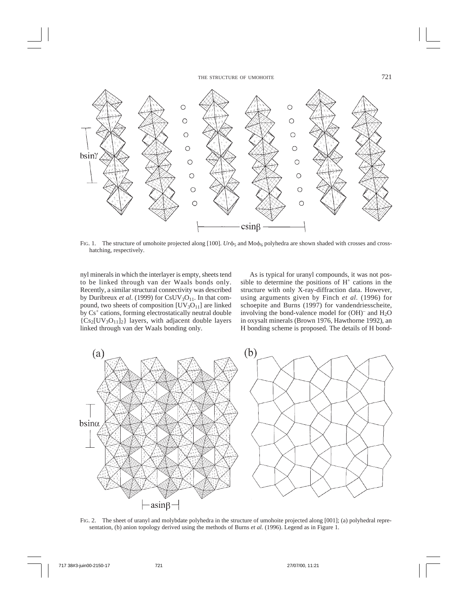

FIG. 1. The structure of umohoite projected along [100].  $Ur\phi_5$  and Mo $\phi_6$  polyhedra are shown shaded with crosses and crosshatching, respectively.

nyl minerals in which the interlayer is empty, sheets tend to be linked through van der Waals bonds only. Recently, a similar structural connectivity was described by Duribreux *et al.* (1999) for  $CsUV<sub>3</sub>O<sub>11</sub>$ . In that compound, two sheets of composition  $[UV_3O_{11}]$  are linked by  $Cs<sup>+</sup>$  cations, forming electrostatically neutral double  ${Cs_2[UV_3O_{11}]_2}$  layers, with adjacent double layers linked through van der Waals bonding only.

As is typical for uranyl compounds, it was not possible to determine the positions of  $H<sup>+</sup>$  cations in the structure with only X-ray-diffraction data. However, using arguments given by Finch *et al.* (1996) for schoepite and Burns (1997) for vandendriesscheite, involving the bond-valence model for  $(OH)^-$  and  $H_2O$ in oxysalt minerals (Brown 1976, Hawthorne 1992), an H bonding scheme is proposed. The details of H bond-



FIG. 2. The sheet of uranyl and molybdate polyhedra in the structure of umohoite projected along [001]; (a) polyhedral representation, (b) anion topology derived using the methods of Burns *et al.* (1996). Legend as in Figure 1.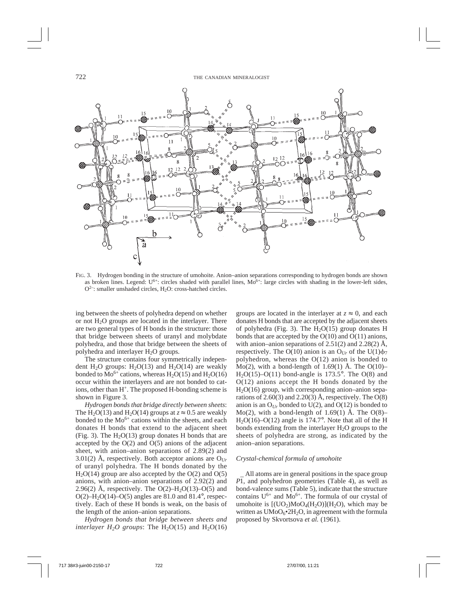

FIG. 3. Hydrogen bonding in the structure of umohoite. Anion–anion separations corresponding to hydrogen bonds are shown as broken lines. Legend:  $U^{6+}$ : circles shaded with parallel lines,  $M_0^{6+}$ : large circles with shading in the lower-left sides,  $O^{2-}$ : smaller unshaded circles, H<sub>2</sub>O: cross-hatched circles.

ing between the sheets of polyhedra depend on whether or not  $H<sub>2</sub>O$  groups are located in the interlayer. There are two general types of H bonds in the structure: those that bridge between sheets of uranyl and molybdate polyhedra, and those that bridge between the sheets of polyhedra and interlayer H2O groups.

The structure contains four symmetrically independent H<sub>2</sub>O groups: H<sub>2</sub>O(13) and H<sub>2</sub>O(14) are weakly bonded to  $Mo^{6+}$  cations, whereas  $H_2O(15)$  and  $H_2O(16)$ occur within the interlayers and are not bonded to cations, other than  $H^+$ . The proposed H-bonding scheme is shown in Figure 3.

*Hydrogen bonds that bridge directly between sheets*: The H<sub>2</sub>O(13) and H<sub>2</sub>O(14) groups at  $z \approx 0.5$  are weakly bonded to the  $Mo^{6+}$  cations within the sheets, and each donates H bonds that extend to the adjacent sheet (Fig. 3). The  $H<sub>2</sub>O(13)$  group donates H bonds that are accepted by the  $O(2)$  and  $O(5)$  anions of the adjacent sheet, with anion–anion separations of 2.89(2) and 3.01(2) Å, respectively. Both acceptor anions are  $O_{Ur}$ of uranyl polyhedra. The H bonds donated by the  $H<sub>2</sub>O(14)$  group are also accepted by the O(2) and O(5) anions, with anion–anion separations of 2.92(2) and 2.96(2) Å, respectively. The  $O(2)$ –H<sub>2</sub> $O(13)$ – $O(5)$  and O(2)–H<sub>2</sub>O(14)–O(5) angles are 81.0 and 81.4°, respectively. Each of these H bonds is weak, on the basis of the length of the anion–anion separations.

*Hydrogen bonds that bridge between sheets and interlayer H<sub>2</sub>O groups*: The H<sub>2</sub>O(15) and H<sub>2</sub>O(16)

groups are located in the interlayer at  $z \approx 0$ , and each donates H bonds that are accepted by the adjacent sheets of polyhedra (Fig. 3). The  $H_2O(15)$  group donates H bonds that are accepted by the  $O(10)$  and  $O(11)$  anions, with anion–anion separations of  $2.51(2)$  and  $2.28(2)$  Å, respectively. The O(10) anion is an O<sub>Ur</sub> of the U(1) $\phi$ <sub>7</sub> polyhedron, whereas the O(12) anion is bonded to Mo(2), with a bond-length of 1.69(1) Å. The O(10)–  $H<sub>2</sub>O(15)–O(11)$  bond-angle is 173.5°. The O(8) and O(12) anions accept the H bonds donated by the  $H<sub>2</sub>O(16)$  group, with corresponding anion–anion separations of 2.60(3) and 2.20(3) Å, respectively. The  $O(8)$ anion is an  $O_{Ur}$  bonded to U(2), and  $O(12)$  is bonded to Mo(2), with a bond-length of 1.69(1) Å. The  $O(8)$ - $H<sub>2</sub>O(16) - O(12)$  angle is 174.7°. Note that all of the H bonds extending from the interlayer  $H_2O$  groups to the sheets of polyhedra are strong, as indicated by the anion–anion separations.

## *Crystal-chemical formula of umohoite*

All atoms are in general positions in the space group  $P\bar{1}$ , and polyhedron geometries (Table 4), as well as bond-valence sums (Table 5), indicate that the structure contains  $U^{6+}$  and  $Mo^{6+}$ . The formula of our crystal of umohoite is  $[(UO<sub>2</sub>)MoO<sub>4</sub>(H<sub>2</sub>O)](H<sub>2</sub>O)$ , which may be written as  $UMoO<sub>6</sub>•2H<sub>2</sub>O$ , in agreement with the formula proposed by Skvortsova *et al.* (1961).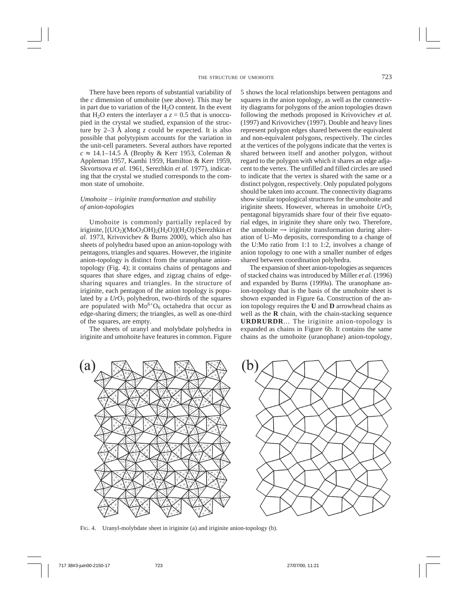There have been reports of substantial variability of the *c* dimension of umohoite (see above). This may be in part due to variation of the  $H<sub>2</sub>O$  content. In the event that H<sub>2</sub>O enters the interlayer a  $z = 0.5$  that is unoccupied in the crystal we studied, expansion of the structure by 2–3 Å along *z* could be expected. It is also possible that polytypism accounts for the variation in the unit-cell parameters. Several authors have reported  $c \approx 14.1 - 14.5$  Å (Brophy & Kerr 1953, Coleman & Appleman 1957, Kamhi 1959, Hamilton & Kerr 1959, Skvortsova *et al.* 1961, Serezhkin *et al.* 1977), indicating that the crystal we studied corresponds to the common state of umohoite.

# *Umohoite – iriginite transformation and stability of anion-topologies*

Umohoite is commonly partially replaced by iriginite,  $[(UO<sub>2</sub>)(MoO<sub>3</sub>OH)<sub>2</sub>(H<sub>2</sub>O)](H<sub>2</sub>O)$  (Serezhkin *et al.* 1973, Krivovichev & Burns 2000), which also has sheets of polyhedra based upon an anion-topology with pentagons, triangles and squares. However, the iriginite anion-topology is distinct from the uranophane aniontopology (Fig. 4); it contains chains of pentagons and squares that share edges, and zigzag chains of edgesharing squares and triangles. In the structure of iriginite, each pentagon of the anion topology is populated by a  $UrO<sub>5</sub>$  polyhedron, two-thirds of the squares are populated with  $Mo^{6+}O_6$  octahedra that occur as edge-sharing dimers; the triangles, as well as one-third of the squares, are empty.

The sheets of uranyl and molybdate polyhedra in iriginite and umohoite have features in common. Figure

5 shows the local relationships between pentagons and squares in the anion topology, as well as the connectivity diagrams for polygons of the anion topologies drawn following the methods proposed in Krivovichev *et al.* (1997) and Krivovichev (1997). Double and heavy lines represent polygon edges shared between the equivalent and non-equivalent polygons, respectively. The circles at the vertices of the polygons indicate that the vertex is shared between itself and another polygon, without regard to the polygon with which it shares an edge adjacent to the vertex. The unfilled and filled circles are used to indicate that the vertex is shared with the same or a distinct polygon, respectively. Only populated polygons should be taken into account. The connectivity diagrams show similar topological structures for the umohoite and iriginite sheets. However, whereas in umohoite  $UrO<sub>5</sub>$ pentagonal bipyramids share four of their five equatorial edges, in iriginite they share only two. Therefore, the umohoite  $\rightarrow$  iriginite transformation during alteration of U–Mo deposits, corresponding to a change of the U:Mo ratio from 1:1 to 1:2, involves a change of anion topology to one with a smaller number of edges shared between coordination polyhedra.

The expansion of sheet anion-topologies as sequences of stacked chains was introduced by Miller *et al.* (1996) and expanded by Burns (1999a). The uranophane anion-topology that is the basis of the umohoite sheet is shown expanded in Figure 6a. Construction of the anion topology requires the **U** and **D** arrowhead chains as well as the **R** chain, with the chain-stacking sequence **URDRURDR**... The iriginite anion-topology is expanded as chains in Figure 6b. It contains the same chains as the umohoite (uranophane) anion-topology,



FIG. 4. Uranyl-molybdate sheet in iriginite (a) and iriginite anion-topology (b).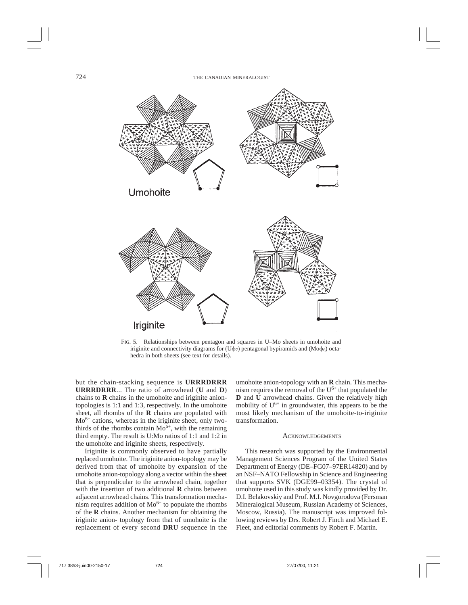

FIG. 5. Relationships between pentagon and squares in U–Mo sheets in umohoite and iriginite and connectivity diagrams for  $(U\phi_7)$  pentagonal bypiramids and  $(Mo\phi_6)$  octahedra in both sheets (see text for details).

but the chain-stacking sequence is **URRRDRRR URRRDRRR**... The ratio of arrowhead (**U** and **D**) chains to **R** chains in the umohoite and iriginite aniontopologies is 1:1 and 1:3, respectively. In the umohoite sheet, all rhombs of the **R** chains are populated with  $Mo<sup>6+</sup>$  cations, whereas in the iriginite sheet, only twothirds of the rhombs contain  $Mo^{6+}$ , with the remaining third empty. The result is U:Mo ratios of 1:1 and 1:2 in the umohoite and iriginite sheets, respectively.

Iriginite is commonly observed to have partially replaced umohoite. The iriginite anion-topology may be derived from that of umohoite by expansion of the umohoite anion-topology along a vector within the sheet that is perpendicular to the arrowhead chain, together with the insertion of two additional **R** chains between adjacent arrowhead chains. This transformation mechanism requires addition of  $Mo^{6+}$  to populate the rhombs of the **R** chains. Another mechanism for obtaining the iriginite anion- topology from that of umohoite is the replacement of every second **DRU** sequence in the

umohoite anion-topology with an **R** chain. This mechanism requires the removal of the  $U^{6+}$  that populated the **D** and **U** arrowhead chains. Given the relatively high mobility of  $U^{6+}$  in groundwater, this appears to be the most likely mechanism of the umohoite-to-iriginite transformation.

### **ACKNOWLEDGEMENTS**

This research was supported by the Environmental Management Sciences Program of the United States Department of Energy (DE–FG07–97ER14820) and by an NSF–NATO Fellowship in Science and Engineering that supports SVK (DGE99–03354). The crystal of umohoite used in this study was kindly provided by Dr. D.I. Belakovskiy and Prof. M.I. Novgorodova (Fersman Mineralogical Museum, Russian Academy of Sciences, Moscow, Russia). The manuscript was improved following reviews by Drs. Robert J. Finch and Michael E. Fleet, and editorial comments by Robert F. Martin.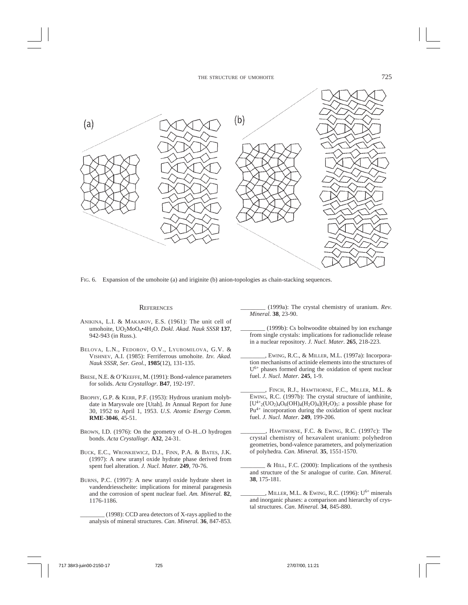

FIG. 6. Expansion of the umohoite (a) and iriginite (b) anion-topologies as chain-stacking sequences.

### **REFERENCES**

- ANIKINA, L.I. & MAKAROV, E.S. (1961): The unit cell of umohoite, UO2MoO4•4H2O. *Dokl. Akad. Nauk SSSR* **137**, 942-943 (in Russ.).
- BELOVA, L.N., FEDOROV, O.V., LYUBOMILOVA, G.V. & VISHNEV, A.I. (1985): Ferriferrous umohoite. *Izv. Akad. Nauk SSSR, Ser. Geol.*, **1985**(12), 131-135.
- BRESE, N.E. & O'KEEFFE, M. (1991): Bond-valence parameters for solids. *Acta Crystallogr*. **B47**, 192-197.
- BROPHY, G.P. & KERR, P.F. (1953): Hydrous uranium molybdate in Marysvale ore [Utah]. *In* Annual Report for June 30, 1952 to April 1, 1953. *U.S. Atomic Energy Comm.* **RME-3046**, 45-51.
- BROWN, I.D. (1976): On the geometry of O–H...O hydrogen bonds. *Acta Crystallogr.* **A32**, 24-31.
- BUCK, E.C., WRONKIEWICZ, D.J., FINN, P.A. & BATES, J.K. (1997): A new uranyl oxide hydrate phase derived from spent fuel alteration. *J. Nucl. Mater.* **249**, 70-76.
- BURNS, P.C. (1997): A new uranyl oxide hydrate sheet in vandendriesscheite: implications for mineral paragenesis and the corrosion of spent nuclear fuel. *Am. Mineral.* **82**, 1176-1186.
	- \_\_\_\_\_\_\_\_ (1998): CCD area detectors of X-rays applied to the analysis of mineral structures. *Can. Mineral.* **36**, 847-853.

\_\_\_\_\_\_\_\_ (1999a): The crystal chemistry of uranium. *Rev. Mineral.* **38**, 23-90.

- (1999b): Cs boltwoodite obtained by ion exchange from single crystals: implications for radionuclide release in a nuclear repository. *J. Nucl. Mater.* **265**, 218-223.
- \_\_\_\_\_\_\_\_, EWING, R.C., & MILLER, M.L. (1997a): Incorporation mechanisms of actinide elements into the structures of U6+ phases formed during the oxidation of spent nuclear fuel. *J. Nucl. Mater.* **245**, 1-9.
- FINCH, R.J., HAWTHORNE, F.C., MILLER, M.L. & EWING, R.C. (1997b): The crystal structure of ianthinite,  $[U^{4+}(UO_2)_4O_6(OH)_4(H_2O)_4](H_2O)_5$ : a possible phase for  $Pu<sup>4+</sup> incorporation during the oxidation of spent nuclear$ fuel. *J. Nucl. Mater.* **249**, 199-206.
- HAWTHORNE, F.C. & EWING, R.C. (1997c): The crystal chemistry of hexavalent uranium: polyhedron geometries, bond-valence parameters, and polymerization of polyhedra. *Can. Mineral.* **35**, 1551-1570.
- \_\_\_\_\_\_\_\_ & HILL, F.C. (2000): Implications of the synthesis and structure of the Sr analogue of curite. *Can. Mineral.* **38**, 175-181.
- , MILLER, M.L. & EWING, R.C. (1996):  $U^{6+}$  minerals and inorganic phases: a comparison and hierarchy of crystal structures. *Can. Mineral.* **34**, 845-880.